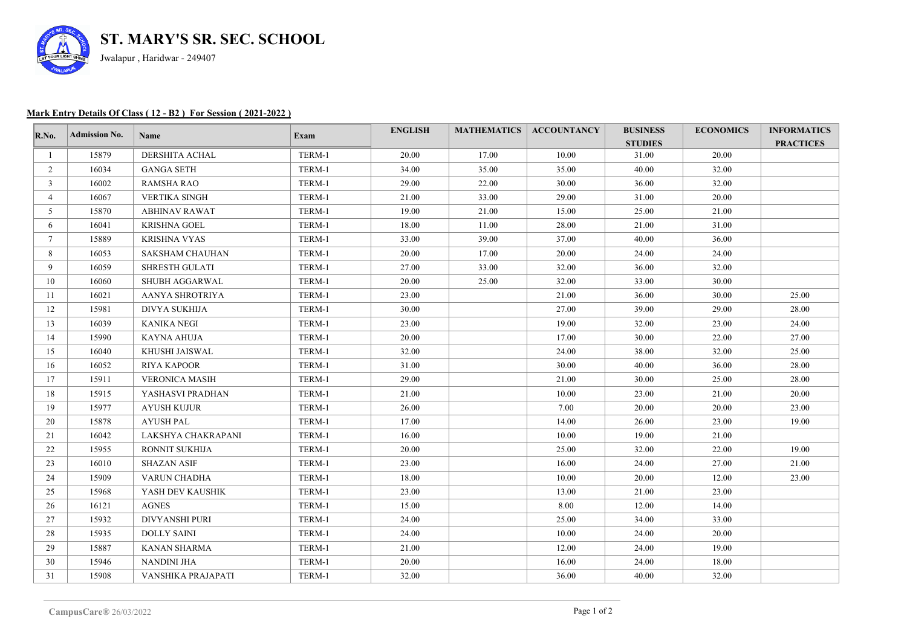

## **Mark Entry Details Of Class ( 12 - B2 ) For Session ( 2021-2022 )**

| R.No.           | <b>Admission No.</b> | Name                  | Exam   | <b>ENGLISH</b> |       | <b>MATHEMATICS   ACCOUNTANCY</b> | <b>BUSINESS</b><br><b>STUDIES</b> | <b>ECONOMICS</b> | <b>INFORMATICS</b><br><b>PRACTICES</b> |
|-----------------|----------------------|-----------------------|--------|----------------|-------|----------------------------------|-----------------------------------|------------------|----------------------------------------|
|                 | 15879                | DERSHITA ACHAL        | TERM-1 | 20.00          | 17.00 | 10.00                            | 31.00                             | 20.00            |                                        |
| 2               | 16034                | <b>GANGA SETH</b>     | TERM-1 | 34.00          | 35.00 | 35.00                            | 40.00                             | 32.00            |                                        |
| $\mathbf{3}$    | 16002                | <b>RAMSHA RAO</b>     | TERM-1 | 29.00          | 22.00 | 30.00                            | 36.00                             | 32.00            |                                        |
| $\overline{4}$  | 16067                | <b>VERTIKA SINGH</b>  | TERM-1 | 21.00          | 33.00 | 29.00                            | 31.00                             | 20.00            |                                        |
| 5               | 15870                | <b>ABHINAV RAWAT</b>  | TERM-1 | 19.00          | 21.00 | 15.00                            | 25.00                             | 21.00            |                                        |
| 6               | 16041                | <b>KRISHNA GOEL</b>   | TERM-1 | 18.00          | 11.00 | 28.00                            | 21.00                             | 31.00            |                                        |
| $7\overline{ }$ | 15889                | KRISHNA VYAS          | TERM-1 | 33.00          | 39.00 | 37.00                            | 40.00                             | 36.00            |                                        |
| 8               | 16053                | SAKSHAM CHAUHAN       | TERM-1 | 20.00          | 17.00 | 20.00                            | 24.00                             | 24.00            |                                        |
| 9               | 16059                | <b>SHRESTH GULATI</b> | TERM-1 | 27.00          | 33.00 | 32.00                            | 36.00                             | 32.00            |                                        |
| 10              | 16060                | SHUBH AGGARWAL        | TERM-1 | 20.00          | 25.00 | 32.00                            | 33.00                             | 30.00            |                                        |
| 11              | 16021                | AANYA SHROTRIYA       | TERM-1 | 23.00          |       | 21.00                            | 36.00                             | 30.00            | 25.00                                  |
| 12              | 15981                | DIVYA SUKHIJA         | TERM-1 | 30.00          |       | 27.00                            | 39.00                             | 29.00            | 28.00                                  |
| 13              | 16039                | KANIKA NEGI           | TERM-1 | 23.00          |       | 19.00                            | 32.00                             | 23.00            | 24.00                                  |
| 14              | 15990                | KAYNA AHUJA           | TERM-1 | 20.00          |       | 17.00                            | 30.00                             | 22.00            | 27.00                                  |
| 15              | 16040                | KHUSHI JAISWAL        | TERM-1 | 32.00          |       | 24.00                            | 38.00                             | 32.00            | 25.00                                  |
| 16              | 16052                | <b>RIYA KAPOOR</b>    | TERM-1 | 31.00          |       | 30.00                            | 40.00                             | 36.00            | 28.00                                  |
| 17              | 15911                | <b>VERONICA MASIH</b> | TERM-1 | 29.00          |       | 21.00                            | 30.00                             | 25.00            | 28.00                                  |
| 18              | 15915                | YASHASVI PRADHAN      | TERM-1 | 21.00          |       | 10.00                            | 23.00                             | 21.00            | 20.00                                  |
| 19              | 15977                | <b>AYUSH KUJUR</b>    | TERM-1 | 26.00          |       | 7.00                             | 20.00                             | 20.00            | 23.00                                  |
| 20              | 15878                | <b>AYUSH PAL</b>      | TERM-1 | 17.00          |       | 14.00                            | 26.00                             | 23.00            | 19.00                                  |
| 21              | 16042                | LAKSHYA CHAKRAPANI    | TERM-1 | 16.00          |       | 10.00                            | 19.00                             | 21.00            |                                        |
| 22              | 15955                | RONNIT SUKHIJA        | TERM-1 | 20.00          |       | 25.00                            | 32.00                             | 22.00            | 19.00                                  |
| 23              | 16010                | <b>SHAZAN ASIF</b>    | TERM-1 | 23.00          |       | 16.00                            | 24.00                             | 27.00            | 21.00                                  |
| 24              | 15909                | VARUN CHADHA          | TERM-1 | 18.00          |       | 10.00                            | 20.00                             | 12.00            | 23.00                                  |
| 25              | 15968                | YASH DEV KAUSHIK      | TERM-1 | 23.00          |       | 13.00                            | 21.00                             | 23.00            |                                        |
| 26              | 16121                | <b>AGNES</b>          | TERM-1 | 15.00          |       | 8.00                             | 12.00                             | 14.00            |                                        |
| 27              | 15932                | <b>DIVYANSHI PURI</b> | TERM-1 | 24.00          |       | 25.00                            | 34.00                             | 33.00            |                                        |
| 28              | 15935                | <b>DOLLY SAINI</b>    | TERM-1 | 24.00          |       | 10.00                            | 24.00                             | 20.00            |                                        |
| 29              | 15887                | <b>KANAN SHARMA</b>   | TERM-1 | 21.00          |       | 12.00                            | 24.00                             | 19.00            |                                        |
| 30              | 15946                | NANDINI JHA           | TERM-1 | 20.00          |       | 16.00                            | 24.00                             | 18.00            |                                        |
| 31              | 15908                | VANSHIKA PRAJAPATI    | TERM-1 | 32.00          |       | 36.00                            | 40.00                             | 32.00            |                                        |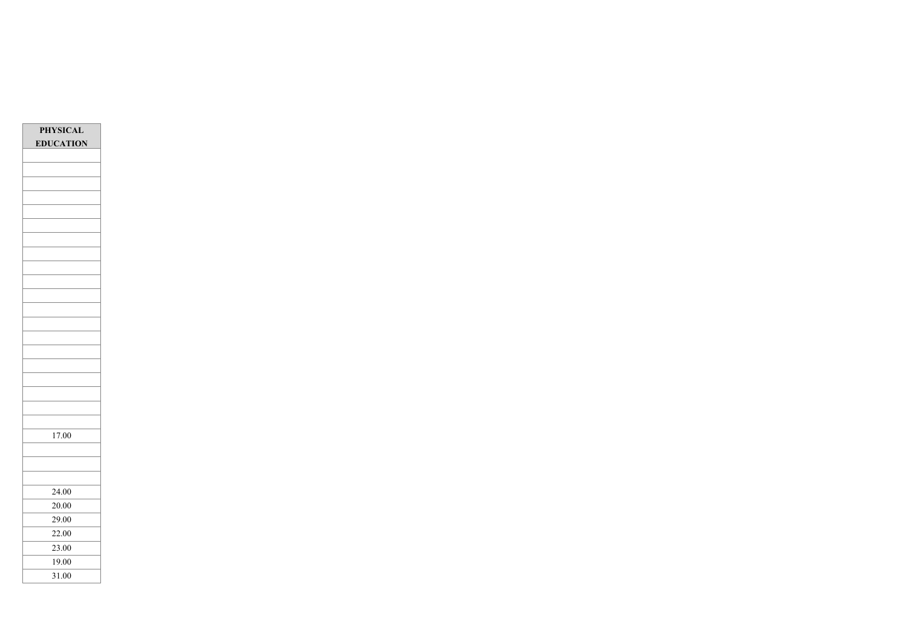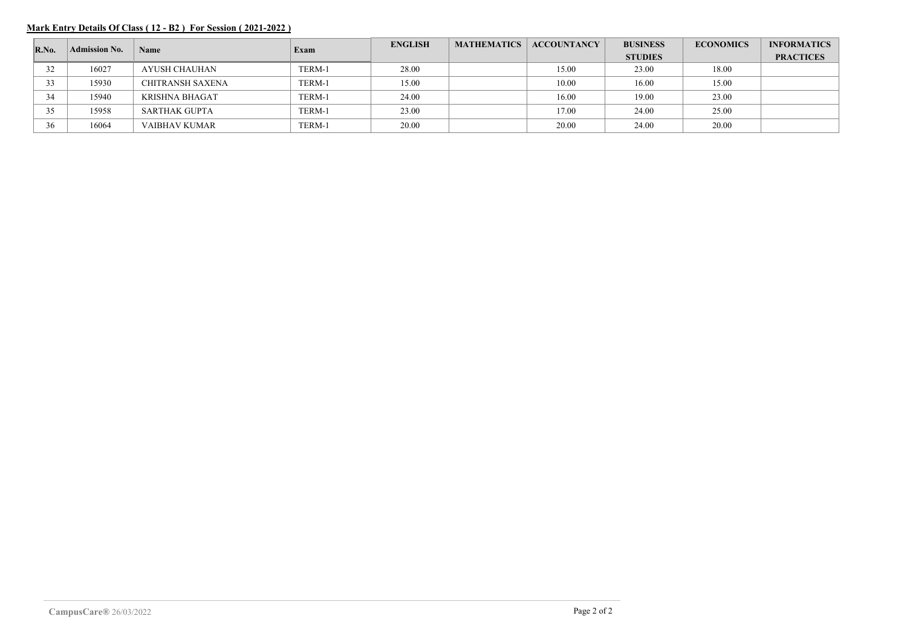## **Mark Entry Details Of Class ( 12 - B2 ) For Session ( 2021-2022 )**

| $\mathbf{R}.\mathbf{No}$ . | <b>Admission No.</b> | Name                  | Exam   | <b>ENGLISH</b> | <b>MATHEMATICS</b> | <b>ACCOUNTANCY</b> | <b>BUSINESS</b> | <b>ECONOMICS</b> | <b>INFORMATICS</b> |
|----------------------------|----------------------|-----------------------|--------|----------------|--------------------|--------------------|-----------------|------------------|--------------------|
|                            |                      |                       |        |                |                    |                    | <b>STUDIES</b>  |                  | <b>PRACTICES</b>   |
| 32                         | 16027                | AYUSH CHAUHAN         | TERM-1 | 28.00          |                    | 15.00              | 23.00           | 18.00            |                    |
| 33                         | 15930                | CHITRANSH SAXENA      | TERM-1 | 15.00          |                    | 10.00              | 16.00           | 15.00            |                    |
| 34                         | 15940                | <b>KRISHNA BHAGAT</b> | TERM-1 | 24.00          |                    | 16.00              | 19.00           | 23.00            |                    |
| 35                         | 15958                | <b>SARTHAK GUPTA</b>  | TERM-1 | 23.00          |                    | 17.00              | 24.00           | 25.00            |                    |
| 36                         | 16064                | VAIBHAV KUMAR         | TERM-1 | 20.00          |                    | 20.00              | 24.00           | 20.00            |                    |